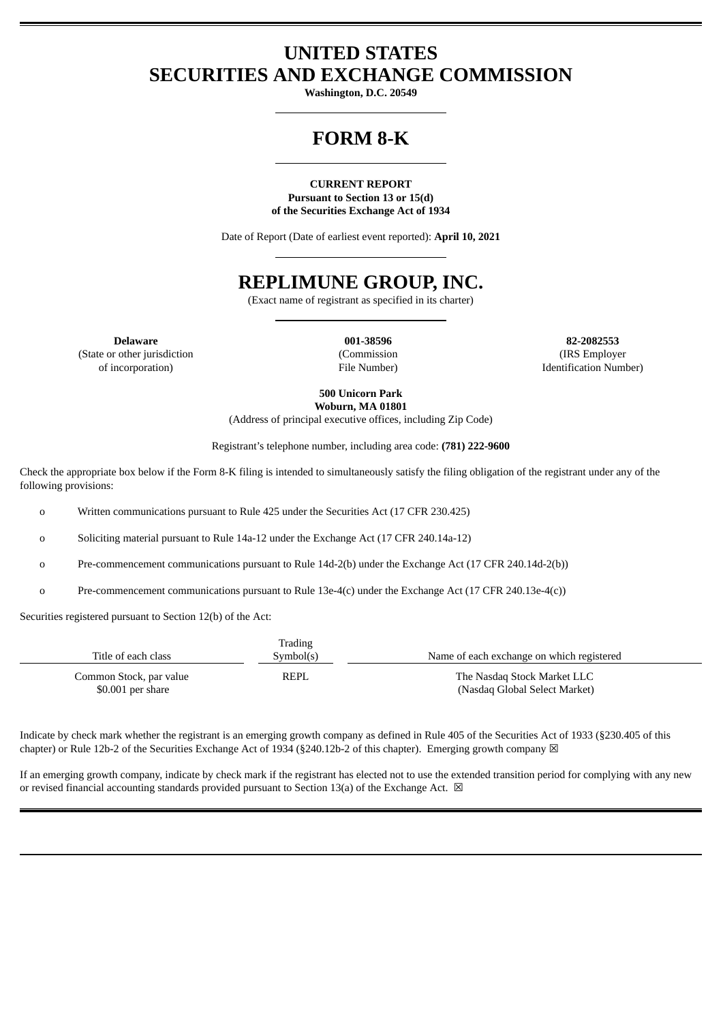### **UNITED STATES SECURITIES AND EXCHANGE COMMISSION**

**Washington, D.C. 20549**

# **FORM 8-K**

#### **CURRENT REPORT Pursuant to Section 13 or 15(d) of the Securities Exchange Act of 1934**

Date of Report (Date of earliest event reported): **April 10, 2021**

## **REPLIMUNE GROUP, INC.**

(Exact name of registrant as specified in its charter)

**Delaware 001-38596 82-2082553** (State or other jurisdiction of incorporation)

(Commission File Number)

(IRS Employer Identification Number)

**500 Unicorn Park Woburn, MA 01801**

(Address of principal executive offices, including Zip Code)

Registrant's telephone number, including area code: **(781) 222-9600**

Check the appropriate box below if the Form 8-K filing is intended to simultaneously satisfy the filing obligation of the registrant under any of the following provisions:

o Written communications pursuant to Rule 425 under the Securities Act (17 CFR 230.425)

o Soliciting material pursuant to Rule 14a-12 under the Exchange Act (17 CFR 240.14a-12)

o Pre-commencement communications pursuant to Rule 14d-2(b) under the Exchange Act (17 CFR 240.14d-2(b))

o Pre-commencement communications pursuant to Rule 13e-4(c) under the Exchange Act (17 CFR 240.13e-4(c))

Securities registered pursuant to Section 12(b) of the Act:

| Title of each class                           | Trading<br>Symbol(s) | Name of each exchange on which registered                    |
|-----------------------------------------------|----------------------|--------------------------------------------------------------|
| Common Stock, par value<br>$$0.001$ per share | REPL                 | The Nasdag Stock Market LLC<br>(Nasdaq Global Select Market) |

Indicate by check mark whether the registrant is an emerging growth company as defined in Rule 405 of the Securities Act of 1933 (§230.405 of this chapter) or Rule 12b-2 of the Securities Exchange Act of 1934 (§240.12b-2 of this chapter). Emerging growth company  $\boxtimes$ 

If an emerging growth company, indicate by check mark if the registrant has elected not to use the extended transition period for complying with any new or revised financial accounting standards provided pursuant to Section 13(a) of the Exchange Act.  $\boxtimes$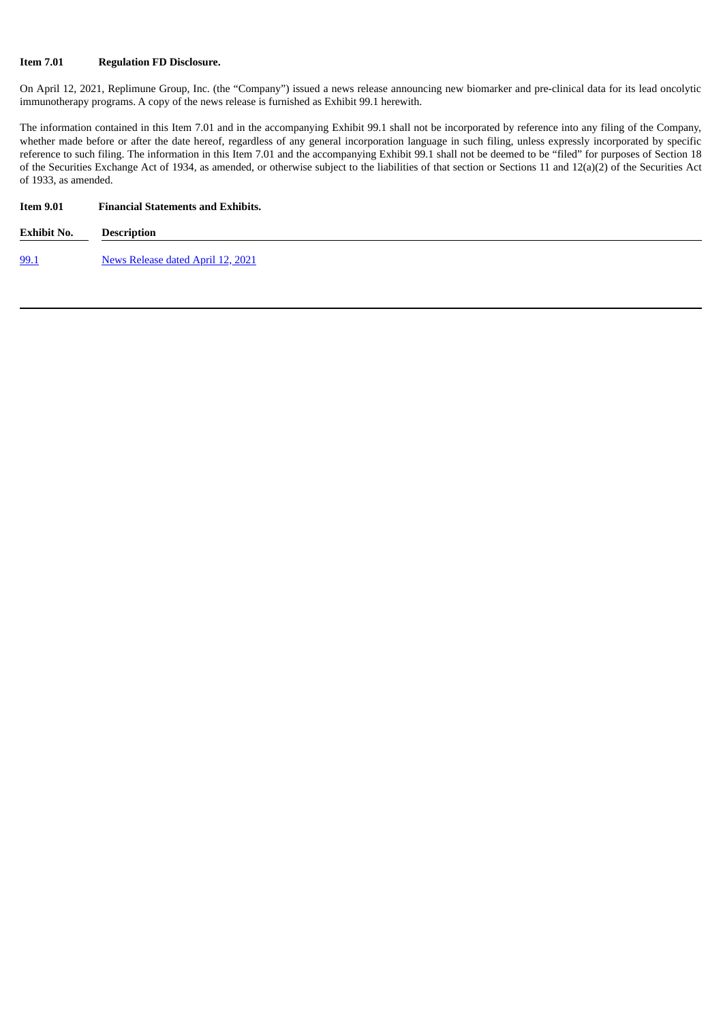#### **Item 7.01 Regulation FD Disclosure.**

On April 12, 2021, Replimune Group, Inc. (the "Company") issued a news release announcing new biomarker and pre-clinical data for its lead oncolytic immunotherapy programs. A copy of the news release is furnished as Exhibit 99.1 herewith.

The information contained in this Item 7.01 and in the accompanying Exhibit 99.1 shall not be incorporated by reference into any filing of the Company, whether made before or after the date hereof, regardless of any general incorporation language in such filing, unless expressly incorporated by specific reference to such filing. The information in this Item 7.01 and the accompanying Exhibit 99.1 shall not be deemed to be "filed" for purposes of Section 18 of the Securities Exchange Act of 1934, as amended, or otherwise subject to the liabilities of that section or Sections 11 and 12(a)(2) of the Securities Act of 1933, as amended.

| <b>Item 9.01</b> | <b>Financial Statements and Exhibits.</b> |  |
|------------------|-------------------------------------------|--|
| Exhibit No.      | <b>Description</b>                        |  |
| <u>99.1</u>      | News Release dated April 12, 2021         |  |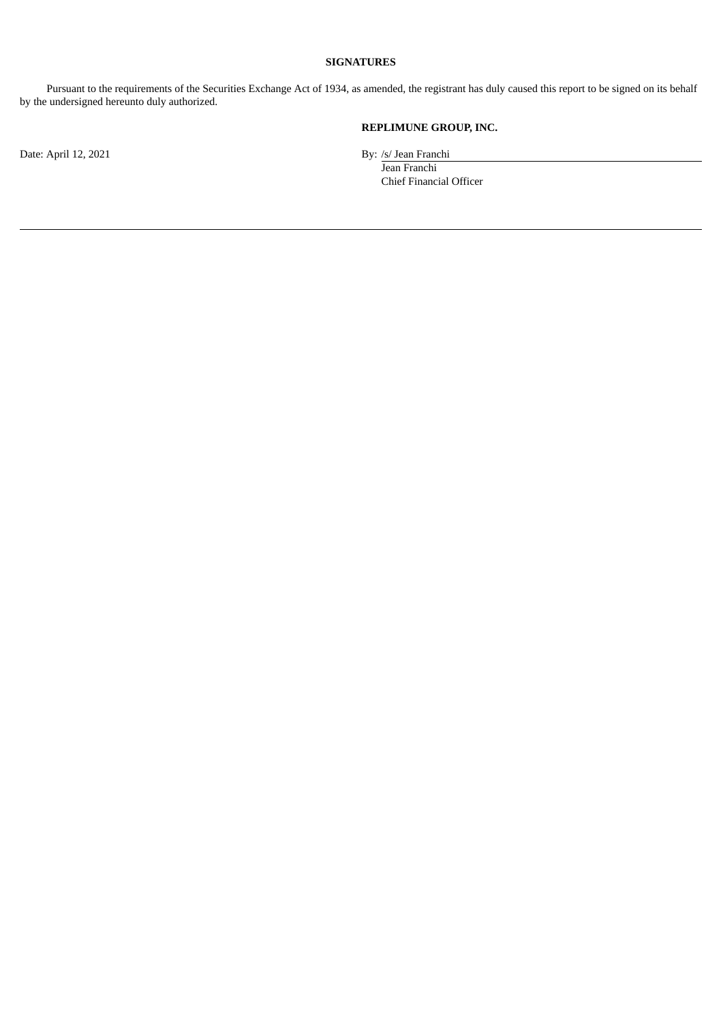#### **SIGNATURES**

Pursuant to the requirements of the Securities Exchange Act of 1934, as amended, the registrant has duly caused this report to be signed on its behalf by the undersigned hereunto duly authorized.

### **REPLIMUNE GROUP, INC.**

Jean Franchi Chief Financial Officer

Date: April 12, 2021 By: /s/ Jean Franchi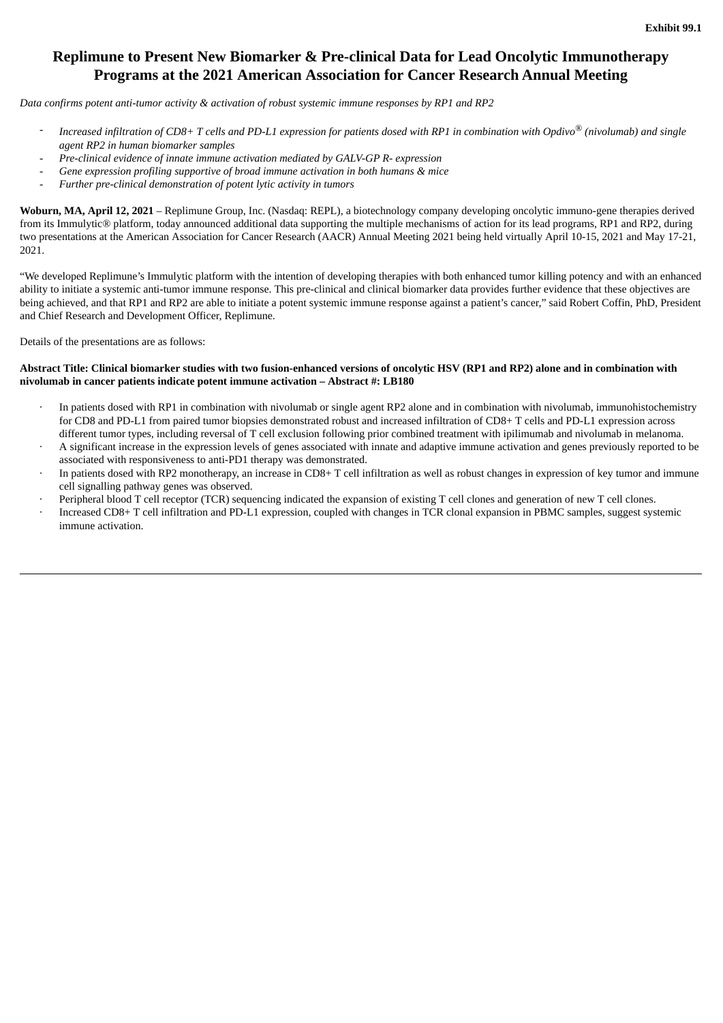### <span id="page-3-0"></span>**Replimune to Present New Biomarker & Pre-clinical Data for Lead Oncolytic Immunotherapy Programs at the 2021 American Association for Cancer Research Annual Meeting**

*Data confirms potent anti-tumor activity & activation of robust systemic immune responses by RP1 and RP2*

- Increased infiltration of CD8+ T cells and PD-L1 expression for patients dosed with RP1 in combination with Opdivo® (nivolumab) and single *agent RP2 in human biomarker samples*
- *Pre-clinical evidence of innate immune activation mediated by GALV-GP R- expression*
- *Gene expression profiling supportive of broad immune activation in both humans & mice*
- *Further pre-clinical demonstration of potent lytic activity in tumors*

**Woburn, MA, April 12, 2021** – Replimune Group, Inc. (Nasdaq: REPL), a biotechnology company developing oncolytic immuno-gene therapies derived from its Immulytic® platform, today announced additional data supporting the multiple mechanisms of action for its lead programs, RP1 and RP2, during two presentations at the American Association for Cancer Research (AACR) Annual Meeting 2021 being held virtually April 10-15, 2021 and May 17-21, 2021.

"We developed Replimune's Immulytic platform with the intention of developing therapies with both enhanced tumor killing potency and with an enhanced ability to initiate a systemic anti-tumor immune response. This pre-clinical and clinical biomarker data provides further evidence that these objectives are being achieved, and that RP1 and RP2 are able to initiate a potent systemic immune response against a patient's cancer," said Robert Coffin, PhD, President and Chief Research and Development Officer, Replimune.

Details of the presentations are as follows:

#### Abstract Title: Clinical biomarker studies with two fusion-enhanced versions of oncolytic HSV (RP1 and RP2) alone and in combination with **nivolumab in cancer patients indicate potent immune activation – Abstract #: LB180**

- · In patients dosed with RP1 in combination with nivolumab or single agent RP2 alone and in combination with nivolumab, immunohistochemistry for CD8 and PD-L1 from paired tumor biopsies demonstrated robust and increased infiltration of CD8+ T cells and PD-L1 expression across different tumor types, including reversal of T cell exclusion following prior combined treatment with ipilimumab and nivolumab in melanoma.
- A significant increase in the expression levels of genes associated with innate and adaptive immune activation and genes previously reported to be associated with responsiveness to anti-PD1 therapy was demonstrated.
- In patients dosed with RP2 monotherapy, an increase in CD8+ T cell infiltration as well as robust changes in expression of key tumor and immune cell signalling pathway genes was observed.
- Peripheral blood T cell receptor (TCR) sequencing indicated the expansion of existing T cell clones and generation of new T cell clones.
- · Increased CD8+ T cell infiltration and PD-L1 expression, coupled with changes in TCR clonal expansion in PBMC samples, suggest systemic immune activation.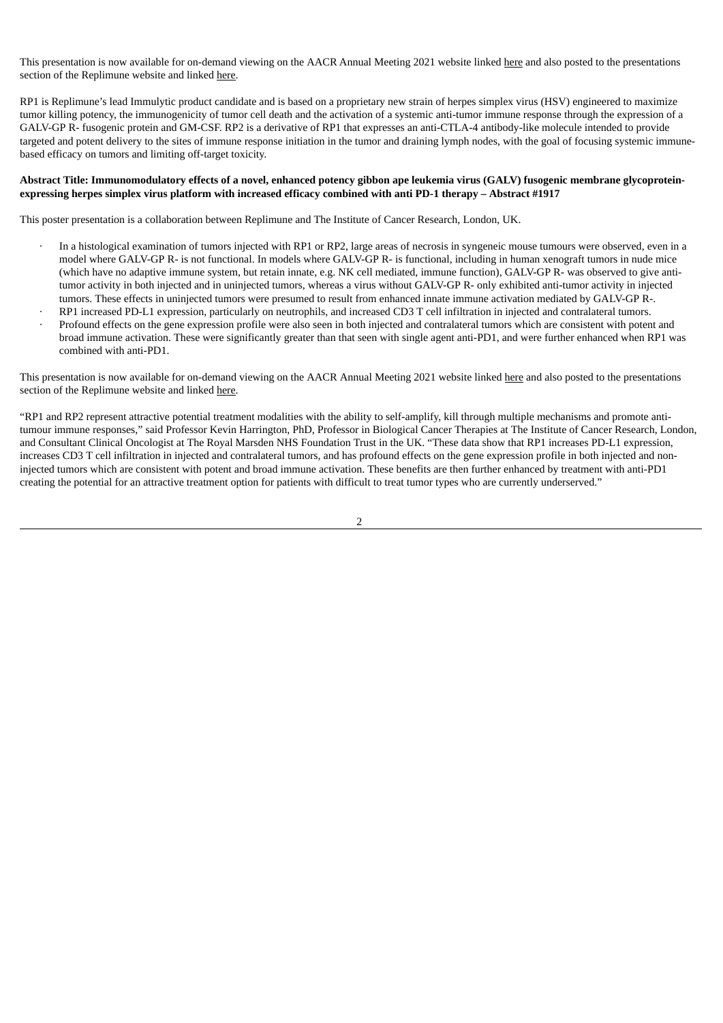This presentation is now available for on-demand viewing on the AACR Annual Meeting 2021 website linked here and also posted to the presentations section of the Replimune website and linked here.

RP1 is Replimune's lead Immulytic product candidate and is based on a proprietary new strain of herpes simplex virus (HSV) engineered to maximize tumor killing potency, the immunogenicity of tumor cell death and the activation of a systemic anti-tumor immune response through the expression of a GALV-GP R- fusogenic protein and GM-CSF. RP2 is a derivative of RP1 that expresses an anti-CTLA-4 antibody-like molecule intended to provide targeted and potent delivery to the sites of immune response initiation in the tumor and draining lymph nodes, with the goal of focusing systemic immunebased efficacy on tumors and limiting off-target toxicity.

#### Abstract Title: Immunomodulatory effects of a novel, enhanced potency gibbon ape leukemia virus (GALV) fusogenic membrane glycoproteinexpressing herpes simplex virus platform with increased efficacy combined with anti PD-1 therapy - Abstract #1917

This poster presentation is a collaboration between Replimune and The Institute of Cancer Research, London, UK.

- · In a histological examination of tumors injected with RP1 or RP2, large areas of necrosis in syngeneic mouse tumours were observed, even in a model where GALV-GP R- is not functional. In models where GALV-GP R- is functional, including in human xenograft tumors in nude mice (which have no adaptive immune system, but retain innate, e.g. NK cell mediated, immune function), GALV-GP R- was observed to give antitumor activity in both injected and in uninjected tumors, whereas a virus without GALV-GP R- only exhibited anti-tumor activity in injected tumors. These effects in uninjected tumors were presumed to result from enhanced innate immune activation mediated by GALV-GP R-.
- · RP1 increased PD-L1 expression, particularly on neutrophils, and increased CD3 T cell infiltration in injected and contralateral tumors.
- · Profound effects on the gene expression profile were also seen in both injected and contralateral tumors which are consistent with potent and broad immune activation. These were significantly greater than that seen with single agent anti-PD1, and were further enhanced when RP1 was combined with anti-PD1.

This presentation is now available for on-demand viewing on the AACR Annual Meeting 2021 website linked here and also posted to the presentations section of the Replimune website and linked here.

"RP1 and RP2 represent attractive potential treatment modalities with the ability to self-amplify, kill through multiple mechanisms and promote antitumour immune responses," said Professor Kevin Harrington, PhD, Professor in Biological Cancer Therapies at The Institute of Cancer Research, London, and Consultant Clinical Oncologist at The Royal Marsden NHS Foundation Trust in the UK. "These data show that RP1 increases PD-L1 expression, increases CD3 T cell infiltration in injected and contralateral tumors, and has profound effects on the gene expression profile in both injected and noninjected tumors which are consistent with potent and broad immune activation. These benefits are then further enhanced by treatment with anti-PD1 creating the potential for an attractive treatment option for patients with difficult to treat tumor types who are currently underserved."

2